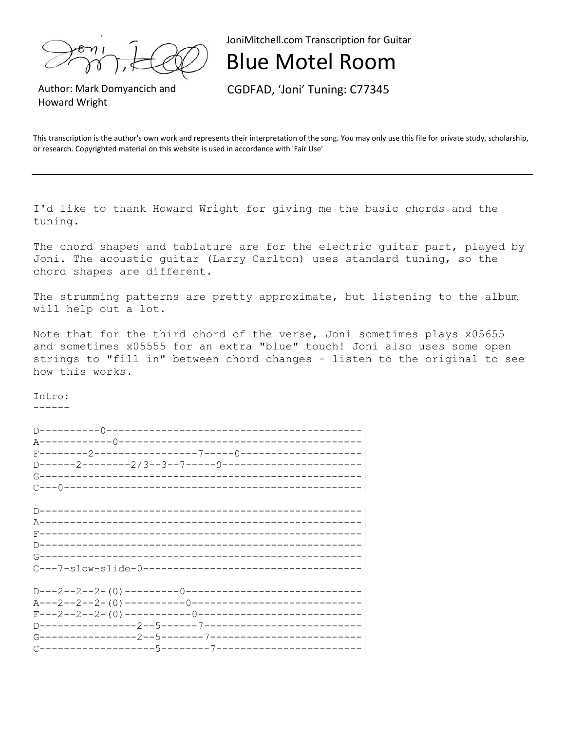JoniMitchell.com Transcription for Guitar

## Blue Motel Room

Author: Mark Domyancich and Howard Wright

CGDFAD, 'Joni' Tuning: C77345

This transcription is the author's own work and represents their interpretation of the song. You may only use this file for private study, scholarship, or research. Copyrighted material on this website is used in accordance with 'Fair Use'

I'd like to thank Howard Wright for giving me the basic chords and the tuning.

The chord shapes and tablature are for the electric quitar part, played by Joni. The acoustic guitar (Larry Carlton) uses standard tuning, so the chord shapes are different.

The strumming patterns are pretty approximate, but listening to the album will help out a lot.

Note that for the third chord of the verse, Joni sometimes plays x05655 and sometimes x05555 for an extra "blue" touch! Joni also uses some open strings to "fill in" between chord changes - listen to the original to see how this works.

Intro: ------

| D------2--------2/3--3--7-----9----------------------- |  |  |
|--------------------------------------------------------|--|--|
|                                                        |  |  |
|                                                        |  |  |
|                                                        |  |  |
|                                                        |  |  |
|                                                        |  |  |
|                                                        |  |  |
|                                                        |  |  |
|                                                        |  |  |
|                                                        |  |  |
|                                                        |  |  |
|                                                        |  |  |
|                                                        |  |  |
|                                                        |  |  |
| $F---2---2-(-1)---------0---------------------------1$ |  |  |
|                                                        |  |  |
|                                                        |  |  |
|                                                        |  |  |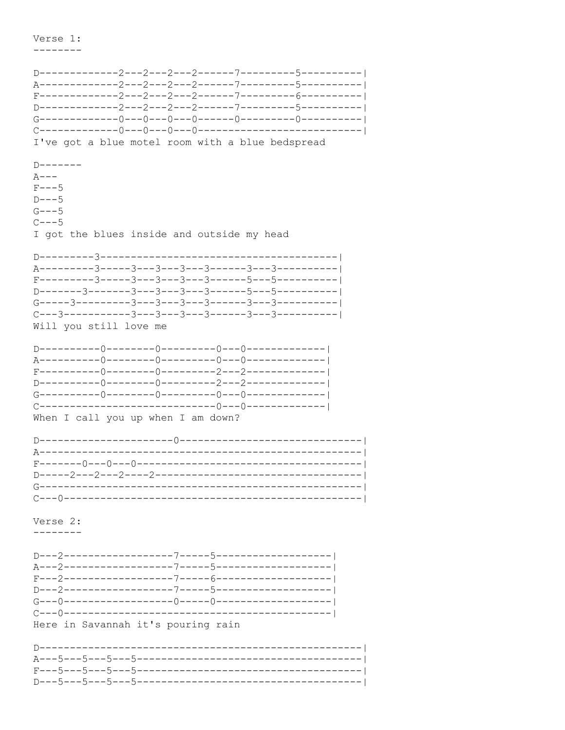Verse 1:

\_\_\_\_\_\_\_\_

I've got a blue motel room with a blue bedspread  $D$ ------- $A-- F---5$  $D---5$  $G - - -5$  $C = -5$ I got the blues inside and outside my head  $C---3------3---3---3---3---3---3---3---3---3---3---1-1$ Will you still love me When I call you up when I am down? Verse 2: --------Here in Savannah it's pouring rain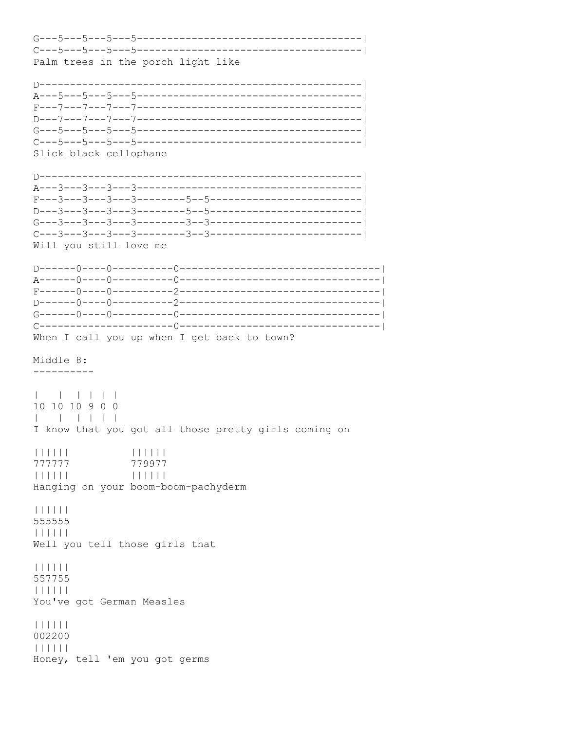Palm trees in the porch light like Slick black cellophane Will you still love me When I call you up when I get back to town? Middle 8: \_\_\_\_\_\_\_\_\_\_  $\mathbf{L}$ 10 10 10 9 0 0  $1 \t1 \t1 \t1$ I know that you got all those pretty girls coming on  $111111$  $111111$ 777777 779977  $111111$  $111111$ Hanging on your boom-boom-pachyderm  $| | | | | | | |$ 555555  $111111$ Well you tell those girls that  $111111$ 557755  $111111$ You've got German Measles  $| | | | | | | | | |$ 002200  $111111$ Honey, tell 'em you got germs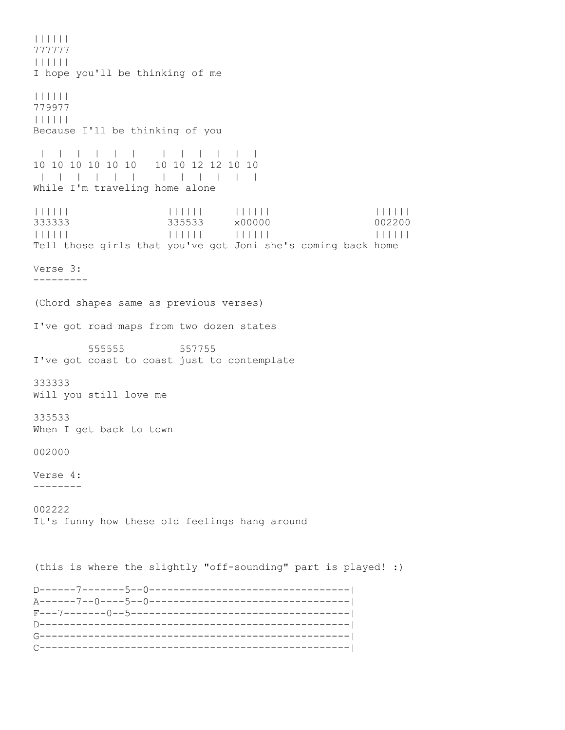|||||| 777777 |||||| I hope you'll be thinking of me |||||| 779977 |||||| Because I'll be thinking of you | | | | | | | | | | | | 10 10 10 10 10 10 10 10 12 12 10 10 | | | | | | | | | | | | While I'm traveling home alone |||||| |||||| |||||| |||||| 333333 335533 x00000 002200 |||||| |||||| |||||| |||||| Tell those girls that you've got Joni she's coming back home Verse 3: --------- (Chord shapes same as previous verses) I've got road maps from two dozen states 555555 557755 I've got coast to coast just to contemplate 333333 Will you still love me 335533 When I get back to town 002000 Verse 4: -------- 002222 It's funny how these old feelings hang around (this is where the slightly "off-sounding" part is played! :) D------7-------5--0---------------------------------| A------7--0----5--0---------------------------------| F---7-------0--5------------------------------------| D---------------------------------------------------| G---------------------------------------------------| C---------------------------------------------------|